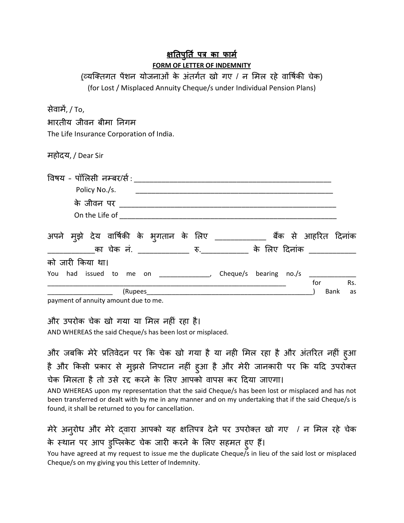## <u>क्षतिपुर्ति पत्र का फामे</u> **FORM OF LETTER OF INDEMNITY**

(व्यक्तिगत पेशन योजनाओं के अतर्गत खो गए / न मिल रहे वार्षिकी चेक) (for Lost / Misplaced Annuity Cheque/s under Individual Pension Plans)

सेवाम , / To,

भारतीय जीवन बीमा (नगम

The Life Insurance Corporation of India.

महोदय, / Dear Sir

| विषय - पॉलिसी नम्बर/र्स :<br>Policy No./s.                                                                                               |           |
|------------------------------------------------------------------------------------------------------------------------------------------|-----------|
| के जीवन पर <u>पार पार क</u><br>On the Life of                                                                                            |           |
| अपने मुझे देय वार्षिकी के भुगतान के लिए<br>बैंक से आहरित दिनांक<br>का चेक नं. ______________ रु.____________ के लिए दिनांक _____________ |           |
| को जारी किया था।                                                                                                                         |           |
| Cheque/s bearing no./s<br>had issued to me on _______________,<br>You<br>for<br>(Rupees<br>Bank                                          | Rs.<br>as |

payment of annuity amount due to me.

और उपरोक चेक खो गया या मिल नहीं रहा है।

AND WHEREAS the said Cheque/s has been lost or misplaced.

और जबकि मेरे प्रतिवेदन पर कि चेक खो गया है या नही मिल रहा है और अंतरित नहीं हुआ है और किसी प्रकार से मुझसे निपटान नहीं हुआ है और मेरी जानकारी पर कि यदि उपरोक्त चेक मिलता है तो उसे रद्द करने के लिए आपको वापस कर दिया जाएगा।

AND WHEREAS upon my representation that the said Cheque/s has been lost or misplaced and has not been transferred or dealt with by me in any manner and on my undertaking that if the said Cheque/s is found, it shall be returned to you for cancellation.

मेरे अनुरोध और मेरे दवारा आपको यह क्षतिपत्र देने पर उपरोक्त खो गए / न मिल रहे चेक के स्थान पर आप डुप्लिकेट चेक जारी करने के लिए सहमत हुए हैं।

You have agreed at my request to issue me the duplicate Cheque/s in lieu of the said lost or misplaced Cheque/s on my giving you this Letter of Indemnity.